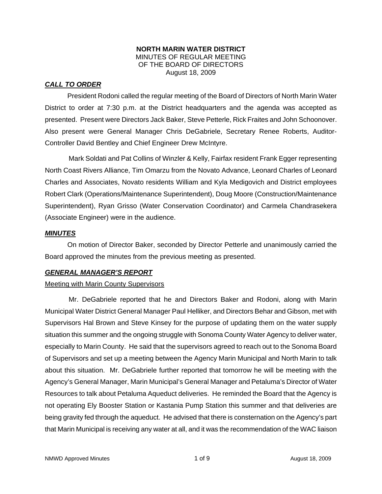#### **NORTH MARIN WATER DISTRICT**  MINUTES OF REGULAR MEETING OF THE BOARD OF DIRECTORS August 18, 2009

# *CALL TO ORDER*

President Rodoni called the regular meeting of the Board of Directors of North Marin Water District to order at 7:30 p.m. at the District headquarters and the agenda was accepted as presented. Present were Directors Jack Baker, Steve Petterle, Rick Fraites and John Schoonover. Also present were General Manager Chris DeGabriele, Secretary Renee Roberts, Auditor-Controller David Bentley and Chief Engineer Drew McIntyre.

Mark Soldati and Pat Collins of Winzler & Kelly, Fairfax resident Frank Egger representing North Coast Rivers Alliance, Tim Omarzu from the Novato Advance, Leonard Charles of Leonard Charles and Associates, Novato residents William and Kyla Medigovich and District employees Robert Clark (Operations/Maintenance Superintendent), Doug Moore (Construction/Maintenance Superintendent), Ryan Grisso (Water Conservation Coordinator) and Carmela Chandrasekera (Associate Engineer) were in the audience.

### *MINUTES*

 On motion of Director Baker, seconded by Director Petterle and unanimously carried the Board approved the minutes from the previous meeting as presented.

### *GENERAL MANAGER'S REPORT*

### Meeting with Marin County Supervisors

Mr. DeGabriele reported that he and Directors Baker and Rodoni, along with Marin Municipal Water District General Manager Paul Helliker, and Directors Behar and Gibson, met with Supervisors Hal Brown and Steve Kinsey for the purpose of updating them on the water supply situation this summer and the ongoing struggle with Sonoma County Water Agency to deliver water, especially to Marin County. He said that the supervisors agreed to reach out to the Sonoma Board of Supervisors and set up a meeting between the Agency Marin Municipal and North Marin to talk about this situation. Mr. DeGabriele further reported that tomorrow he will be meeting with the Agency's General Manager, Marin Municipal's General Manager and Petaluma's Director of Water Resources to talk about Petaluma Aqueduct deliveries. He reminded the Board that the Agency is not operating Ely Booster Station or Kastania Pump Station this summer and that deliveries are being gravity fed through the aqueduct. He advised that there is consternation on the Agency's part that Marin Municipal is receiving any water at all, and it was the recommendation of the WAC liaison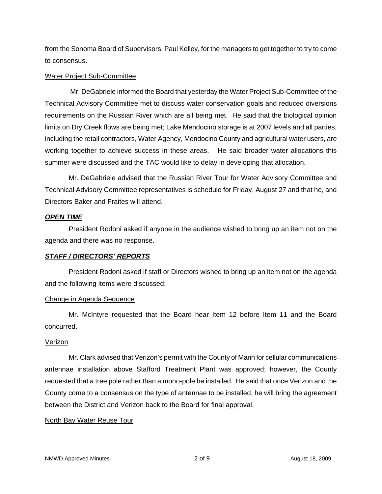from the Sonoma Board of Supervisors, Paul Kelley, for the managers to get together to try to come to consensus.

#### Water Project Sub-Committee

 Mr. DeGabriele informed the Board that yesterday the Water Project Sub-Committee of the Technical Advisory Committee met to discuss water conservation goals and reduced diversions requirements on the Russian River which are all being met. He said that the biological opinion limits on Dry Creek flows are being met; Lake Mendocino storage is at 2007 levels and all parties, including the retail contractors, Water Agency, Mendocino County and agricultural water users, are working together to achieve success in these areas. He said broader water allocations this summer were discussed and the TAC would like to delay in developing that allocation.

Mr. DeGabriele advised that the Russian River Tour for Water Advisory Committee and Technical Advisory Committee representatives is schedule for Friday, August 27 and that he, and Directors Baker and Fraites will attend.

### *OPEN TIME*

President Rodoni asked if anyone in the audience wished to bring up an item not on the agenda and there was no response.

### *STAFF / DIRECTORS' REPORTS*

President Rodoni asked if staff or Directors wished to bring up an item not on the agenda and the following items were discussed:

### Change in Agenda Sequence

Mr. McIntyre requested that the Board hear Item 12 before Item 11 and the Board concurred.

### Verizon

Mr. Clark advised that Verizon's permit with the County of Marin for cellular communications antennae installation above Stafford Treatment Plant was approved; however, the County requested that a tree pole rather than a mono-pole be installed. He said that once Verizon and the County come to a consensus on the type of antennae to be installed, he will bring the agreement between the District and Verizon back to the Board for final approval.

# North Bay Water Reuse Tour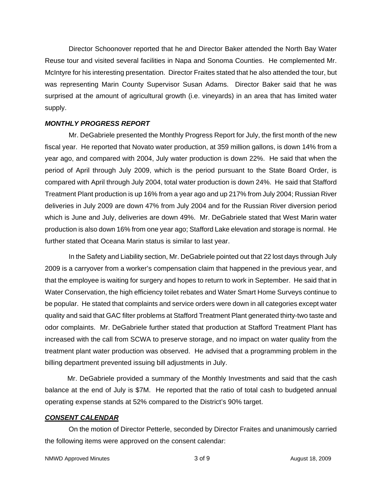Director Schoonover reported that he and Director Baker attended the North Bay Water Reuse tour and visited several facilities in Napa and Sonoma Counties. He complemented Mr. McIntyre for his interesting presentation. Director Fraites stated that he also attended the tour, but was representing Marin County Supervisor Susan Adams. Director Baker said that he was surprised at the amount of agricultural growth (i.e. vineyards) in an area that has limited water supply.

#### *MONTHLY PROGRESS REPORT*

Mr. DeGabriele presented the Monthly Progress Report for July, the first month of the new fiscal year. He reported that Novato water production, at 359 million gallons, is down 14% from a year ago, and compared with 2004, July water production is down 22%. He said that when the period of April through July 2009, which is the period pursuant to the State Board Order, is compared with April through July 2004, total water production is down 24%. He said that Stafford Treatment Plant production is up 16% from a year ago and up 217% from July 2004; Russian River deliveries in July 2009 are down 47% from July 2004 and for the Russian River diversion period which is June and July, deliveries are down 49%. Mr. DeGabriele stated that West Marin water production is also down 16% from one year ago; Stafford Lake elevation and storage is normal. He further stated that Oceana Marin status is similar to last year.

In the Safety and Liability section, Mr. DeGabriele pointed out that 22 lost days through July 2009 is a carryover from a worker's compensation claim that happened in the previous year, and that the employee is waiting for surgery and hopes to return to work in September. He said that in Water Conservation, the high efficiency toilet rebates and Water Smart Home Surveys continue to be popular. He stated that complaints and service orders were down in all categories except water quality and said that GAC filter problems at Stafford Treatment Plant generated thirty-two taste and odor complaints. Mr. DeGabriele further stated that production at Stafford Treatment Plant has increased with the call from SCWA to preserve storage, and no impact on water quality from the treatment plant water production was observed. He advised that a programming problem in the billing department prevented issuing bill adjustments in July.

 Mr. DeGabriele provided a summary of the Monthly Investments and said that the cash balance at the end of July is \$7M. He reported that the ratio of total cash to budgeted annual operating expense stands at 52% compared to the District's 90% target.

#### *CONSENT CALENDAR*

On the motion of Director Petterle, seconded by Director Fraites and unanimously carried the following items were approved on the consent calendar: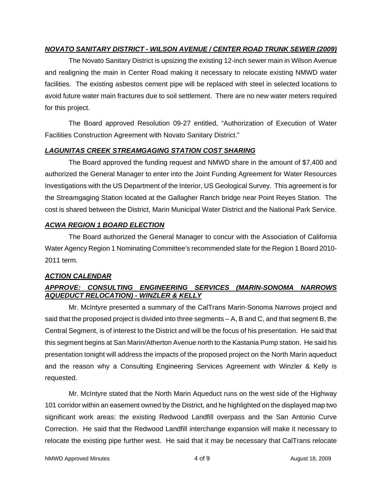# *NOVATO SANITARY DISTRICT - WILSON AVENUE / CENTER ROAD TRUNK SEWER (2009)*

The Novato Sanitary District is upsizing the existing 12-inch sewer main in Wilson Avenue and realigning the main in Center Road making it necessary to relocate existing NMWD water facilities. The existing asbestos cement pipe will be replaced with steel in selected locations to avoid future water main fractures due to soil settlement. There are no new water meters required for this project.

The Board approved Resolution 09-27 entitled, "Authorization of Execution of Water Facilities Construction Agreement with Novato Sanitary District."

# *LAGUNITAS CREEK STREAMGAGING STATION COST SHARING*

The Board approved the funding request and NMWD share in the amount of \$7,400 and authorized the General Manager to enter into the Joint Funding Agreement for Water Resources Investigations with the US Department of the Interior, US Geological Survey. This agreement is for the Streamgaging Station located at the Gallagher Ranch bridge near Point Reyes Station. The cost is shared between the District, Marin Municipal Water District and the National Park Service.

# *ACWA REGION 1 BOARD ELECTION*

The Board authorized the General Manager to concur with the Association of California Water Agency Region 1 Nominating Committee's recommended slate for the Region 1 Board 2010- 2011 term.

# *ACTION CALENDAR*

# *APPROVE: CONSULTING ENGINEERING SERVICES (MARIN-SONOMA NARROWS AQUEDUCT RELOCATION) - WINZLER & KELLY*

Mr. McIntyre presented a summary of the CalTrans Marin-Sonoma Narrows project and said that the proposed project is divided into three segments – A, B and C, and that segment B, the Central Segment, is of interest to the District and will be the focus of his presentation. He said that this segment begins at San Marin/Atherton Avenue north to the Kastania Pump station. He said his presentation tonight will address the impacts of the proposed project on the North Marin aqueduct and the reason why a Consulting Engineering Services Agreement with Winzler & Kelly is requested.

Mr. McIntyre stated that the North Marin Aqueduct runs on the west side of the Highway 101 corridor within an easement owned by the District, and he highlighted on the displayed map two significant work areas: the existing Redwood Landfill overpass and the San Antonio Curve Correction. He said that the Redwood Landfill interchange expansion will make it necessary to relocate the existing pipe further west. He said that it may be necessary that CalTrans relocate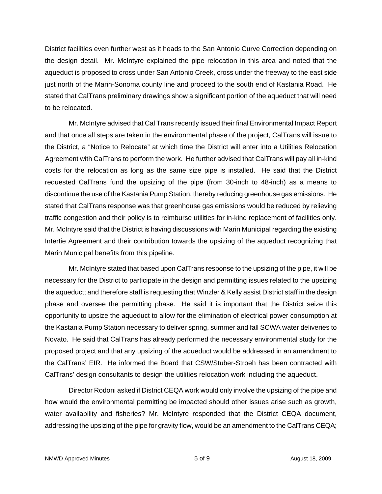District facilities even further west as it heads to the San Antonio Curve Correction depending on the design detail. Mr. McIntyre explained the pipe relocation in this area and noted that the aqueduct is proposed to cross under San Antonio Creek, cross under the freeway to the east side just north of the Marin-Sonoma county line and proceed to the south end of Kastania Road. He stated that CalTrans preliminary drawings show a significant portion of the aqueduct that will need to be relocated.

Mr. McIntyre advised that Cal Trans recently issued their final Environmental Impact Report and that once all steps are taken in the environmental phase of the project, CalTrans will issue to the District, a "Notice to Relocate" at which time the District will enter into a Utilities Relocation Agreement with CalTrans to perform the work. He further advised that CalTrans will pay all in-kind costs for the relocation as long as the same size pipe is installed. He said that the District requested CalTrans fund the upsizing of the pipe (from 30-inch to 48-inch) as a means to discontinue the use of the Kastania Pump Station, thereby reducing greenhouse gas emissions. He stated that CalTrans response was that greenhouse gas emissions would be reduced by relieving traffic congestion and their policy is to reimburse utilities for in-kind replacement of facilities only. Mr. McIntyre said that the District is having discussions with Marin Municipal regarding the existing Intertie Agreement and their contribution towards the upsizing of the aqueduct recognizing that Marin Municipal benefits from this pipeline.

Mr. McIntyre stated that based upon CalTrans response to the upsizing of the pipe, it will be necessary for the District to participate in the design and permitting issues related to the upsizing the aqueduct; and therefore staff is requesting that Winzler & Kelly assist District staff in the design phase and oversee the permitting phase. He said it is important that the District seize this opportunity to upsize the aqueduct to allow for the elimination of electrical power consumption at the Kastania Pump Station necessary to deliver spring, summer and fall SCWA water deliveries to Novato. He said that CalTrans has already performed the necessary environmental study for the proposed project and that any upsizing of the aqueduct would be addressed in an amendment to the CalTrans' EIR. He informed the Board that CSW/Stuber-Stroeh has been contracted with CalTrans' design consultants to design the utilities relocation work including the aqueduct.

Director Rodoni asked if District CEQA work would only involve the upsizing of the pipe and how would the environmental permitting be impacted should other issues arise such as growth, water availability and fisheries? Mr. McIntyre responded that the District CEQA document, addressing the upsizing of the pipe for gravity flow, would be an amendment to the CalTrans CEQA;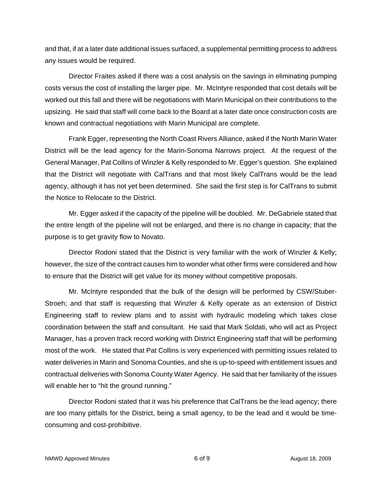and that, if at a later date additional issues surfaced, a supplemental permitting process to address any issues would be required.

Director Fraites asked if there was a cost analysis on the savings in eliminating pumping costs versus the cost of installing the larger pipe. Mr. McIntyre responded that cost details will be worked out this fall and there will be negotiations with Marin Municipal on their contributions to the upsizing. He said that staff will come back to the Board at a later date once construction costs are known and contractual negotiations with Marin Municipal are complete.

Frank Egger, representing the North Coast Rivers Alliance, asked if the North Marin Water District will be the lead agency for the Marin-Sonoma Narrows project. At the request of the General Manager, Pat Collins of Winzler & Kelly responded to Mr. Egger's question. She explained that the District will negotiate with CalTrans and that most likely CalTrans would be the lead agency, although it has not yet been determined. She said the first step is for CalTrans to submit the Notice to Relocate to the District.

Mr. Egger asked if the capacity of the pipeline will be doubled. Mr. DeGabriele stated that the entire length of the pipeline will not be enlarged, and there is no change in capacity; that the purpose is to get gravity flow to Novato.

Director Rodoni stated that the District is very familiar with the work of Winzler & Kelly; however, the size of the contract causes him to wonder what other firms were considered and how to ensure that the District will get value for its money without competitive proposals.

Mr. McIntyre responded that the bulk of the design will be performed by CSW/Stuber-Stroeh; and that staff is requesting that Winzler & Kelly operate as an extension of District Engineering staff to review plans and to assist with hydraulic modeling which takes close coordination between the staff and consultant. He said that Mark Soldati, who will act as Project Manager, has a proven track record working with District Engineering staff that will be performing most of the work. He stated that Pat Collins is very experienced with permitting issues related to water deliveries in Marin and Sonoma Counties, and she is up-to-speed with entitlement issues and contractual deliveries with Sonoma County Water Agency. He said that her familiarity of the issues will enable her to "hit the ground running."

Director Rodoni stated that it was his preference that CalTrans be the lead agency; there are too many pitfalls for the District, being a small agency, to be the lead and it would be timeconsuming and cost-prohibitive.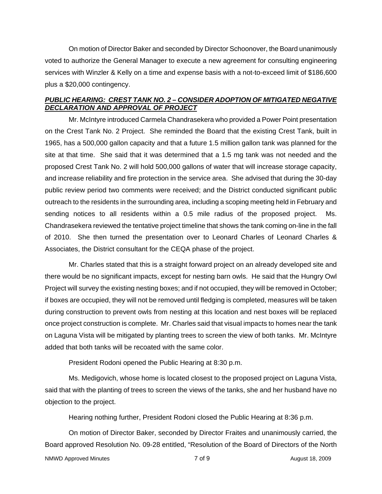On motion of Director Baker and seconded by Director Schoonover, the Board unanimously voted to authorize the General Manager to execute a new agreement for consulting engineering services with Winzler & Kelly on a time and expense basis with a not-to-exceed limit of \$186,600 plus a \$20,000 contingency.

# *PUBLIC HEARING: CREST TANK NO. 2 – CONSIDER ADOPTION OF MITIGATED NEGATIVE DECLARATION AND APPROVAL OF PROJECT*

Mr. McIntyre introduced Carmela Chandrasekera who provided a Power Point presentation on the Crest Tank No. 2 Project. She reminded the Board that the existing Crest Tank, built in 1965, has a 500,000 gallon capacity and that a future 1.5 million gallon tank was planned for the site at that time. She said that it was determined that a 1.5 mg tank was not needed and the proposed Crest Tank No. 2 will hold 500,000 gallons of water that will increase storage capacity, and increase reliability and fire protection in the service area. She advised that during the 30-day public review period two comments were received; and the District conducted significant public outreach to the residents in the surrounding area, including a scoping meeting held in February and sending notices to all residents within a 0.5 mile radius of the proposed project. Ms. Chandrasekera reviewed the tentative project timeline that shows the tank coming on-line in the fall of 2010. She then turned the presentation over to Leonard Charles of Leonard Charles & Associates, the District consultant for the CEQA phase of the project.

Mr. Charles stated that this is a straight forward project on an already developed site and there would be no significant impacts, except for nesting barn owls. He said that the Hungry Owl Project will survey the existing nesting boxes; and if not occupied, they will be removed in October; if boxes are occupied, they will not be removed until fledging is completed, measures will be taken during construction to prevent owls from nesting at this location and nest boxes will be replaced once project construction is complete. Mr. Charles said that visual impacts to homes near the tank on Laguna Vista will be mitigated by planting trees to screen the view of both tanks. Mr. McIntyre added that both tanks will be recoated with the same color.

President Rodoni opened the Public Hearing at 8:30 p.m.

Ms. Medigovich, whose home is located closest to the proposed project on Laguna Vista, said that with the planting of trees to screen the views of the tanks, she and her husband have no objection to the project.

Hearing nothing further, President Rodoni closed the Public Hearing at 8:36 p.m.

On motion of Director Baker, seconded by Director Fraites and unanimously carried, the Board approved Resolution No. 09-28 entitled, "Resolution of the Board of Directors of the North

NMWD Approved Minutes and the control of the control of 9 August 18, 2009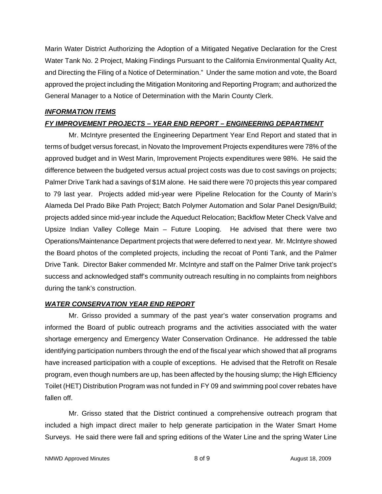Marin Water District Authorizing the Adoption of a Mitigated Negative Declaration for the Crest Water Tank No. 2 Project, Making Findings Pursuant to the California Environmental Quality Act, and Directing the Filing of a Notice of Determination." Under the same motion and vote, the Board approved the project including the Mitigation Monitoring and Reporting Program; and authorized the General Manager to a Notice of Determination with the Marin County Clerk.

### *INFORMATION ITEMS*

# *FY IMPROVEMENT PROJECTS – YEAR END REPORT – ENGINEERING DEPARTMENT*

Mr. McIntyre presented the Engineering Department Year End Report and stated that in terms of budget versus forecast, in Novato the Improvement Projects expenditures were 78% of the approved budget and in West Marin, Improvement Projects expenditures were 98%. He said the difference between the budgeted versus actual project costs was due to cost savings on projects; Palmer Drive Tank had a savings of \$1M alone. He said there were 70 projects this year compared to 79 last year. Projects added mid-year were Pipeline Relocation for the County of Marin's Alameda Del Prado Bike Path Project; Batch Polymer Automation and Solar Panel Design/Build; projects added since mid-year include the Aqueduct Relocation; Backflow Meter Check Valve and Upsize Indian Valley College Main – Future Looping. He advised that there were two Operations/Maintenance Department projects that were deferred to next year. Mr. McIntyre showed the Board photos of the completed projects, including the recoat of Ponti Tank, and the Palmer Drive Tank. Director Baker commended Mr. McIntyre and staff on the Palmer Drive tank project's success and acknowledged staff's community outreach resulting in no complaints from neighbors during the tank's construction.

# *WATER CONSERVATION YEAR END REPORT*

Mr. Grisso provided a summary of the past year's water conservation programs and informed the Board of public outreach programs and the activities associated with the water shortage emergency and Emergency Water Conservation Ordinance. He addressed the table identifying participation numbers through the end of the fiscal year which showed that all programs have increased participation with a couple of exceptions. He advised that the Retrofit on Resale program, even though numbers are up, has been affected by the housing slump; the High Efficiency Toilet (HET) Distribution Program was not funded in FY 09 and swimming pool cover rebates have fallen off.

Mr. Grisso stated that the District continued a comprehensive outreach program that included a high impact direct mailer to help generate participation in the Water Smart Home Surveys. He said there were fall and spring editions of the Water Line and the spring Water Line